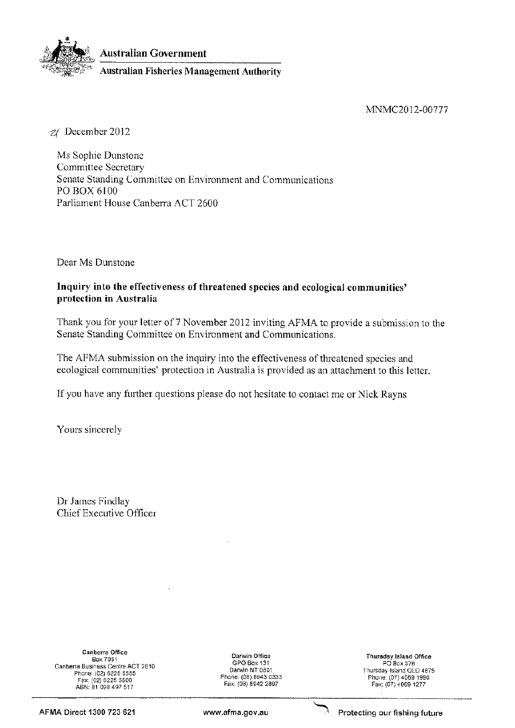

Australian Government

**Australian Fisheries Management Authority** 

MNMC2012-00777

2/ December 2012

Ms Sophie Dunstone **Committee Secretary** Senate Standing Committee on Environment and Communications PO BOX 6100 Parliament House Canberra ACT 2600

Dear Ms Dunstone

## Inquiry into the effectiveness of threatened species and ecological communities' protection in Australia

Thank you for your letter of 7 November 2012 inviting AFMA to provide a submission to the Senate Standing Committee on Environment and Communications.

The AFMA submission on the inquiry into the effectiveness of threatened species and ecological communities' protection in Australia is provided as an attachment to this letter.

If you have any further questions please do not hesitate to contact me or Nick Rayns

Yours sincerely

Dr James Findlay Chief Executive Officer

**Canberra Office** Box 7051 Canberra Business Centre ACT 2610 Phone: (02) 6225 5555 Fax: (02) 6225 5500 ABN: 81 098 497 517

Darwin Office GPO Box 131 Darwin NT 0801 Phone: (08) 8943 0333 Fax: (08) 8942 2897

**Thursday Island Office** PO Box 376 Thursday Island QLD 4875 Phone: (07) 4069 1990 Fax: (07) 4069 1277

AFMA Direct 1300 723 621

www.afma.gov.au



Protecting our fishing future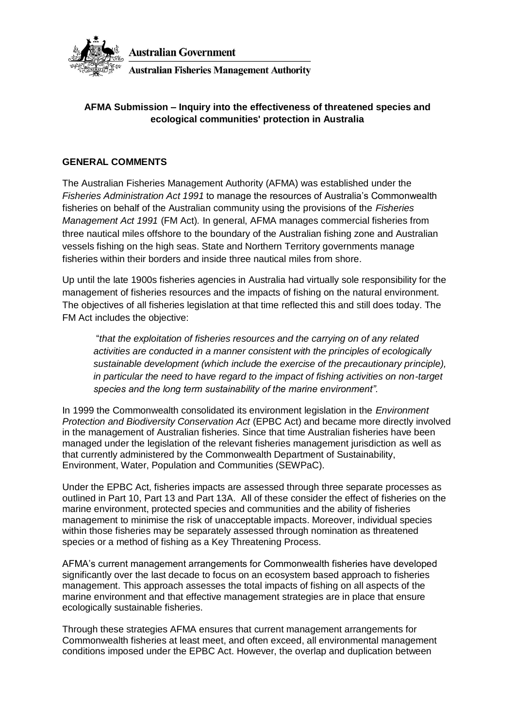

**Australian Government Australian Fisheries Management Authority** 

# **AFMA Submission – Inquiry into the effectiveness of threatened species and ecological communities' protection in Australia**

## **GENERAL COMMENTS**

The Australian Fisheries Management Authority (AFMA) was established under the *Fisheries Administration Act 1991* to manage the resources of Australia's Commonwealth fisheries on behalf of the Australian community using the provisions of the *Fisheries Management Act 1991* (FM Act)*.* In general, AFMA manages commercial fisheries from three nautical miles offshore to the boundary of the Australian fishing zone and Australian vessels fishing on the high seas. State and Northern Territory governments manage fisheries within their borders and inside three nautical miles from shore.

Up until the late 1900s fisheries agencies in Australia had virtually sole responsibility for the management of fisheries resources and the impacts of fishing on the natural environment. The objectives of all fisheries legislation at that time reflected this and still does today. The FM Act includes the objective:

"*that the exploitation of fisheries resources and the carrying on of any related activities are conducted in a manner consistent with the principles of ecologically sustainable development (which include the exercise of the precautionary principle), in particular the need to have regard to the impact of fishing activities on non-target species and the long term sustainability of the marine environment".*

In 1999 the Commonwealth consolidated its environment legislation in the *Environment Protection and Biodiversity Conservation Act* (EPBC Act) and became more directly involved in the management of Australian fisheries. Since that time Australian fisheries have been managed under the legislation of the relevant fisheries management jurisdiction as well as that currently administered by the Commonwealth Department of Sustainability, Environment, Water, Population and Communities (SEWPaC).

Under the EPBC Act, fisheries impacts are assessed through three separate processes as outlined in Part 10, Part 13 and Part 13A. All of these consider the effect of fisheries on the marine environment, protected species and communities and the ability of fisheries management to minimise the risk of unacceptable impacts. Moreover, individual species within those fisheries may be separately assessed through nomination as threatened species or a method of fishing as a Key Threatening Process.

AFMA's current management arrangements for Commonwealth fisheries have developed significantly over the last decade to focus on an ecosystem based approach to fisheries management. This approach assesses the total impacts of fishing on all aspects of the marine environment and that effective management strategies are in place that ensure ecologically sustainable fisheries.

Through these strategies AFMA ensures that current management arrangements for Commonwealth fisheries at least meet, and often exceed, all environmental management conditions imposed under the EPBC Act. However, the overlap and duplication between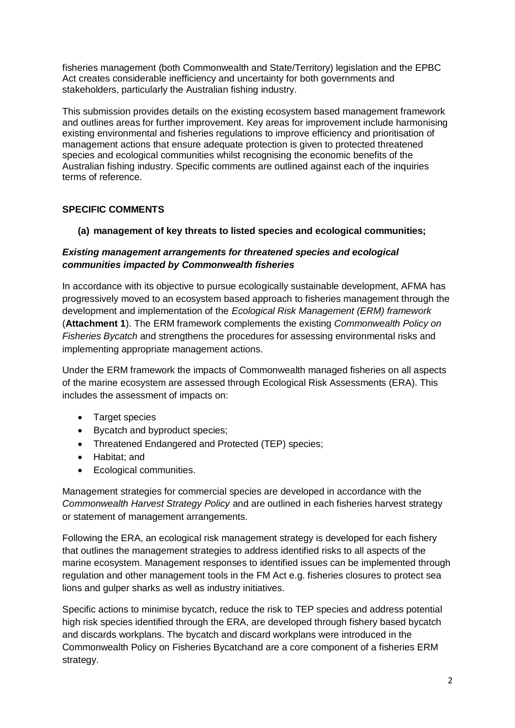fisheries management (both Commonwealth and State/Territory) legislation and the EPBC Act creates considerable inefficiency and uncertainty for both governments and stakeholders, particularly the Australian fishing industry.

This submission provides details on the existing ecosystem based management framework and outlines areas for further improvement. Key areas for improvement include harmonising existing environmental and fisheries regulations to improve efficiency and prioritisation of management actions that ensure adequate protection is given to protected threatened species and ecological communities whilst recognising the economic benefits of the Australian fishing industry. Specific comments are outlined against each of the inquiries terms of reference.

# **SPECIFIC COMMENTS**

# **(a) management of key threats to listed species and ecological communities;**

## *Existing management arrangements for threatened species and ecological communities impacted by Commonwealth fisheries*

In accordance with its objective to pursue ecologically sustainable development, AFMA has progressively moved to an ecosystem based approach to fisheries management through the development and implementation of the *Ecological Risk Management (ERM) framework* (**Attachment 1**). The ERM framework complements the existing *Commonwealth Policy on Fisheries Bycatch* and strengthens the procedures for assessing environmental risks and implementing appropriate management actions.

Under the ERM framework the impacts of Commonwealth managed fisheries on all aspects of the marine ecosystem are assessed through Ecological Risk Assessments (ERA). This includes the assessment of impacts on:

- Target species
- Bycatch and byproduct species;
- Threatened Endangered and Protected (TEP) species;
- Habitat; and
- Ecological communities.

Management strategies for commercial species are developed in accordance with the *Commonwealth Harvest Strategy Policy* and are outlined in each fisheries harvest strategy or statement of management arrangements.

Following the ERA, an ecological risk management strategy is developed for each fishery that outlines the management strategies to address identified risks to all aspects of the marine ecosystem. Management responses to identified issues can be implemented through regulation and other management tools in the FM Act e.g. fisheries closures to protect sea lions and gulper sharks as well as industry initiatives.

Specific actions to minimise bycatch, reduce the risk to TEP species and address potential high risk species identified through the ERA, are developed through fishery based bycatch and discards workplans. The bycatch and discard workplans were introduced in the Commonwealth Policy on Fisheries Bycatchand are a core component of a fisheries ERM strategy.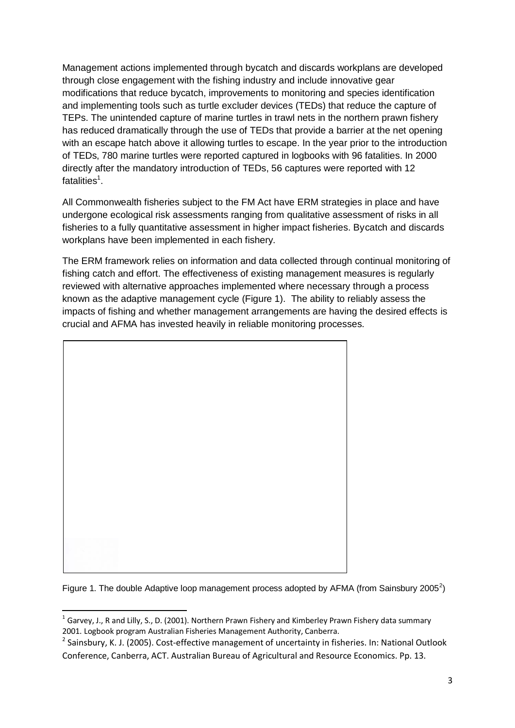Management actions implemented through bycatch and discards workplans are developed through close engagement with the fishing industry and include innovative gear modifications that reduce bycatch, improvements to monitoring and species identification and implementing tools such as turtle excluder devices (TEDs) that reduce the capture of TEPs. The unintended capture of marine turtles in trawl nets in the northern prawn fishery has reduced dramatically through the use of TEDs that provide a barrier at the net opening with an escape hatch above it allowing turtles to escape. In the year prior to the introduction of TEDs, 780 marine turtles were reported captured in logbooks with 96 fatalities. In 2000 directly after the mandatory introduction of TEDs, 56 captures were reported with 12 fatalities<sup>1</sup>.

All Commonwealth fisheries subject to the FM Act have ERM strategies in place and have undergone ecological risk assessments ranging from qualitative assessment of risks in all fisheries to a fully quantitative assessment in higher impact fisheries. Bycatch and discards workplans have been implemented in each fishery.

The ERM framework relies on information and data collected through continual monitoring of fishing catch and effort. The effectiveness of existing management measures is regularly reviewed with alternative approaches implemented where necessary through a process known as the adaptive management cycle (Figure 1). The ability to reliably assess the impacts of fishing and whether management arrangements are having the desired effects is crucial and AFMA has invested heavily in reliable monitoring processes.



Figure 1. The double Adaptive loop management process adopted by AFMA (from Sainsbury 2005<sup>2</sup>)

 1 Garvey, J., R and Lilly, S., D. (2001). Northern Prawn Fishery and Kimberley Prawn Fishery data summary 2001. Logbook program Australian Fisheries Management Authority, Canberra.

<sup>&</sup>lt;sup>2</sup> Sainsbury, K. J. (2005). Cost-effective management of uncertainty in fisheries. In: National Outlook Conference, Canberra, ACT. Australian Bureau of Agricultural and Resource Economics. Pp. 13.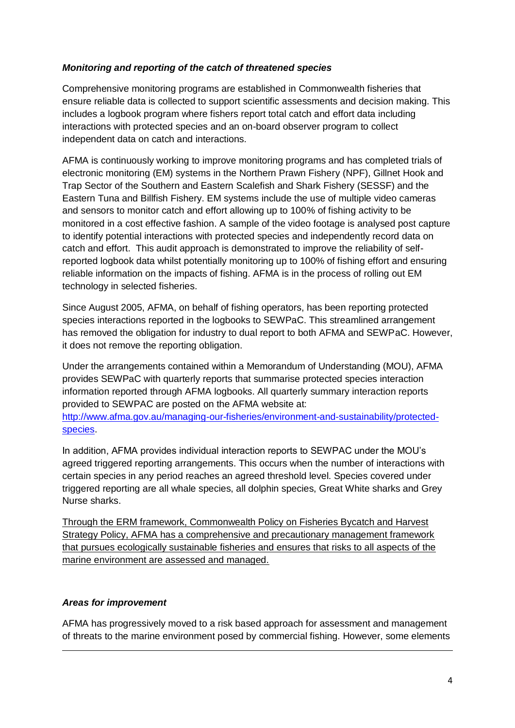# *Monitoring and reporting of the catch of threatened species*

Comprehensive monitoring programs are established in Commonwealth fisheries that ensure reliable data is collected to support scientific assessments and decision making. This includes a logbook program where fishers report total catch and effort data including interactions with protected species and an on-board observer program to collect independent data on catch and interactions.

AFMA is continuously working to improve monitoring programs and has completed trials of electronic monitoring (EM) systems in the Northern Prawn Fishery (NPF), Gillnet Hook and Trap Sector of the Southern and Eastern Scalefish and Shark Fishery (SESSF) and the Eastern Tuna and Billfish Fishery. EM systems include the use of multiple video cameras and sensors to monitor catch and effort allowing up to 100% of fishing activity to be monitored in a cost effective fashion. A sample of the video footage is analysed post capture to identify potential interactions with protected species and independently record data on catch and effort. This audit approach is demonstrated to improve the reliability of selfreported logbook data whilst potentially monitoring up to 100% of fishing effort and ensuring reliable information on the impacts of fishing. AFMA is in the process of rolling out EM technology in selected fisheries.

Since August 2005, AFMA, on behalf of fishing operators, has been reporting protected species interactions reported in the logbooks to SEWPaC. This streamlined arrangement has removed the obligation for industry to dual report to both AFMA and SEWPaC. However, it does not remove the reporting obligation.

Under the arrangements contained within a Memorandum of Understanding (MOU), AFMA provides SEWPaC with quarterly reports that summarise protected species interaction information reported through AFMA logbooks. All quarterly summary interaction reports provided to SEWPAC are posted on the AFMA website at: http://www.afma.gov.au/managing-our-fisheries/environment-and-sustainability/protectedspecies.

In addition, AFMA provides individual interaction reports to SEWPAC under the MOU's agreed triggered reporting arrangements. This occurs when the number of interactions with certain species in any period reaches an agreed threshold level. Species covered under triggered reporting are all whale species, all dolphin species, Great White sharks and Grey Nurse sharks.

Through the ERM framework, Commonwealth Policy on Fisheries Bycatch and Harvest Strategy Policy, AFMA has a comprehensive and precautionary management framework that pursues ecologically sustainable fisheries and ensures that risks to all aspects of the marine environment are assessed and managed.

### *Areas for improvement*

**.** 

AFMA has progressively moved to a risk based approach for assessment and management of threats to the marine environment posed by commercial fishing. However, some elements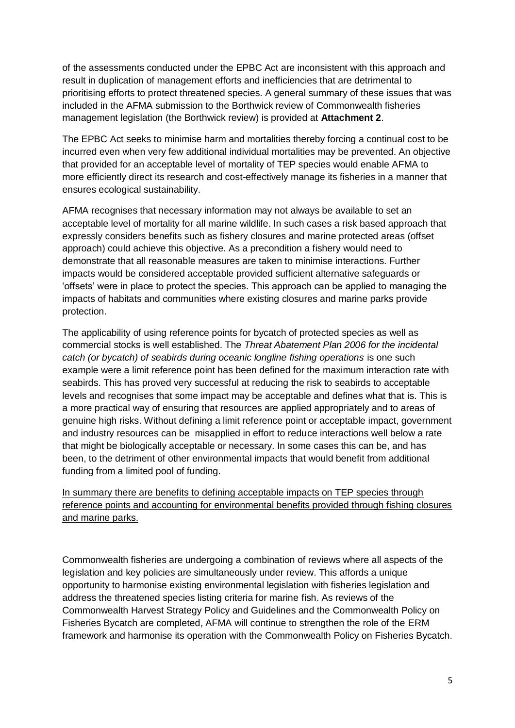of the assessments conducted under the EPBC Act are inconsistent with this approach and result in duplication of management efforts and inefficiencies that are detrimental to prioritising efforts to protect threatened species. A general summary of these issues that was included in the AFMA submission to the Borthwick review of Commonwealth fisheries management legislation (the Borthwick review) is provided at **Attachment 2**.

The EPBC Act seeks to minimise harm and mortalities thereby forcing a continual cost to be incurred even when very few additional individual mortalities may be prevented. An objective that provided for an acceptable level of mortality of TEP species would enable AFMA to more efficiently direct its research and cost-effectively manage its fisheries in a manner that ensures ecological sustainability.

AFMA recognises that necessary information may not always be available to set an acceptable level of mortality for all marine wildlife. In such cases a risk based approach that expressly considers benefits such as fishery closures and marine protected areas (offset approach) could achieve this objective. As a precondition a fishery would need to demonstrate that all reasonable measures are taken to minimise interactions. Further impacts would be considered acceptable provided sufficient alternative safeguards or 'offsets' were in place to protect the species. This approach can be applied to managing the impacts of habitats and communities where existing closures and marine parks provide protection.

The applicability of using reference points for bycatch of protected species as well as commercial stocks is well established. The *Threat Abatement Plan 2006 for the incidental catch (or bycatch) of seabirds during oceanic longline fishing operations* is one such example were a limit reference point has been defined for the maximum interaction rate with seabirds. This has proved very successful at reducing the risk to seabirds to acceptable levels and recognises that some impact may be acceptable and defines what that is. This is a more practical way of ensuring that resources are applied appropriately and to areas of genuine high risks. Without defining a limit reference point or acceptable impact, government and industry resources can be misapplied in effort to reduce interactions well below a rate that might be biologically acceptable or necessary. In some cases this can be, and has been, to the detriment of other environmental impacts that would benefit from additional funding from a limited pool of funding.

In summary there are benefits to defining acceptable impacts on TEP species through reference points and accounting for environmental benefits provided through fishing closures and marine parks.

Commonwealth fisheries are undergoing a combination of reviews where all aspects of the legislation and key policies are simultaneously under review. This affords a unique opportunity to harmonise existing environmental legislation with fisheries legislation and address the threatened species listing criteria for marine fish. As reviews of the Commonwealth Harvest Strategy Policy and Guidelines and the Commonwealth Policy on Fisheries Bycatch are completed, AFMA will continue to strengthen the role of the ERM framework and harmonise its operation with the Commonwealth Policy on Fisheries Bycatch.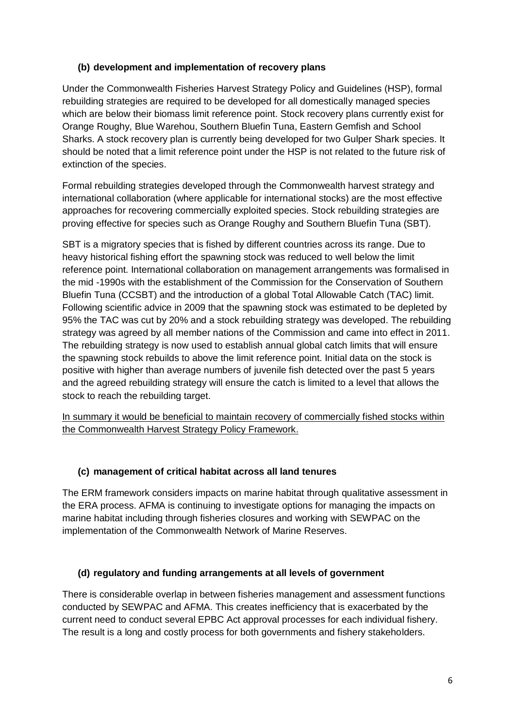# **(b) development and implementation of recovery plans**

Under the Commonwealth Fisheries Harvest Strategy Policy and Guidelines (HSP), formal rebuilding strategies are required to be developed for all domestically managed species which are below their biomass limit reference point. Stock recovery plans currently exist for Orange Roughy, Blue Warehou, Southern Bluefin Tuna, Eastern Gemfish and School Sharks. A stock recovery plan is currently being developed for two Gulper Shark species. It should be noted that a limit reference point under the HSP is not related to the future risk of extinction of the species.

Formal rebuilding strategies developed through the Commonwealth harvest strategy and international collaboration (where applicable for international stocks) are the most effective approaches for recovering commercially exploited species. Stock rebuilding strategies are proving effective for species such as Orange Roughy and Southern Bluefin Tuna (SBT).

SBT is a migratory species that is fished by different countries across its range. Due to heavy historical fishing effort the spawning stock was reduced to well below the limit reference point. International collaboration on management arrangements was formalised in the mid -1990s with the establishment of the Commission for the Conservation of Southern Bluefin Tuna (CCSBT) and the introduction of a global Total Allowable Catch (TAC) limit. Following scientific advice in 2009 that the spawning stock was estimated to be depleted by 95% the TAC was cut by 20% and a stock rebuilding strategy was developed. The rebuilding strategy was agreed by all member nations of the Commission and came into effect in 2011. The rebuilding strategy is now used to establish annual global catch limits that will ensure the spawning stock rebuilds to above the limit reference point. Initial data on the stock is positive with higher than average numbers of juvenile fish detected over the past 5 years and the agreed rebuilding strategy will ensure the catch is limited to a level that allows the stock to reach the rebuilding target.

In summary it would be beneficial to maintain recovery of commercially fished stocks within the Commonwealth Harvest Strategy Policy Framework.

### **(c) management of critical habitat across all land tenures**

The ERM framework considers impacts on marine habitat through qualitative assessment in the ERA process. AFMA is continuing to investigate options for managing the impacts on marine habitat including through fisheries closures and working with SEWPAC on the implementation of the Commonwealth Network of Marine Reserves.

# **(d) regulatory and funding arrangements at all levels of government**

There is considerable overlap in between fisheries management and assessment functions conducted by SEWPAC and AFMA. This creates inefficiency that is exacerbated by the current need to conduct several EPBC Act approval processes for each individual fishery. The result is a long and costly process for both governments and fishery stakeholders.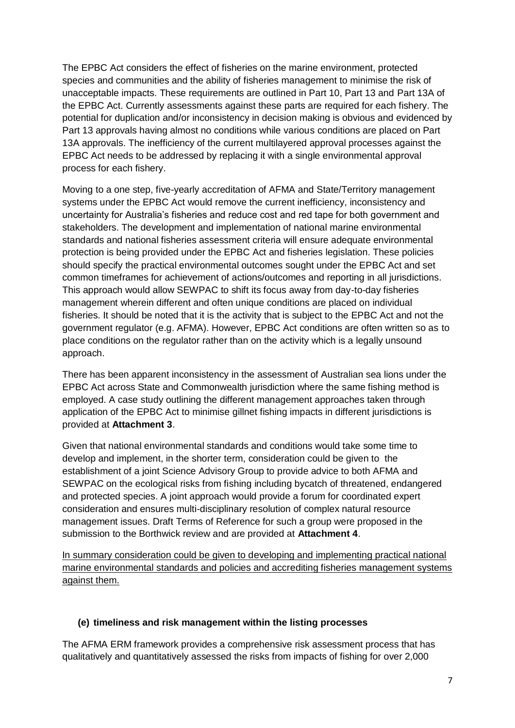The EPBC Act considers the effect of fisheries on the marine environment, protected species and communities and the ability of fisheries management to minimise the risk of unacceptable impacts. These requirements are outlined in Part 10, Part 13 and Part 13A of the EPBC Act. Currently assessments against these parts are required for each fishery. The potential for duplication and/or inconsistency in decision making is obvious and evidenced by Part 13 approvals having almost no conditions while various conditions are placed on Part 13A approvals. The inefficiency of the current multilayered approval processes against the EPBC Act needs to be addressed by replacing it with a single environmental approval process for each fishery.

Moving to a one step, five-yearly accreditation of AFMA and State/Territory management systems under the EPBC Act would remove the current inefficiency, inconsistency and uncertainty for Australia's fisheries and reduce cost and red tape for both government and stakeholders. The development and implementation of national marine environmental standards and national fisheries assessment criteria will ensure adequate environmental protection is being provided under the EPBC Act and fisheries legislation. These policies should specify the practical environmental outcomes sought under the EPBC Act and set common timeframes for achievement of actions/outcomes and reporting in all jurisdictions. This approach would allow SEWPAC to shift its focus away from day-to-day fisheries management wherein different and often unique conditions are placed on individual fisheries. It should be noted that it is the activity that is subject to the EPBC Act and not the government regulator (e.g. AFMA). However, EPBC Act conditions are often written so as to place conditions on the regulator rather than on the activity which is a legally unsound approach.

There has been apparent inconsistency in the assessment of Australian sea lions under the EPBC Act across State and Commonwealth jurisdiction where the same fishing method is employed. A case study outlining the different management approaches taken through application of the EPBC Act to minimise gillnet fishing impacts in different jurisdictions is provided at **Attachment 3**.

Given that national environmental standards and conditions would take some time to develop and implement, in the shorter term, consideration could be given to the establishment of a joint Science Advisory Group to provide advice to both AFMA and SEWPAC on the ecological risks from fishing including bycatch of threatened, endangered and protected species. A joint approach would provide a forum for coordinated expert consideration and ensures multi-disciplinary resolution of complex natural resource management issues. Draft Terms of Reference for such a group were proposed in the submission to the Borthwick review and are provided at **Attachment 4**.

In summary consideration could be given to developing and implementing practical national marine environmental standards and policies and accrediting fisheries management systems against them.

### **(e) timeliness and risk management within the listing processes**

The AFMA ERM framework provides a comprehensive risk assessment process that has qualitatively and quantitatively assessed the risks from impacts of fishing for over 2,000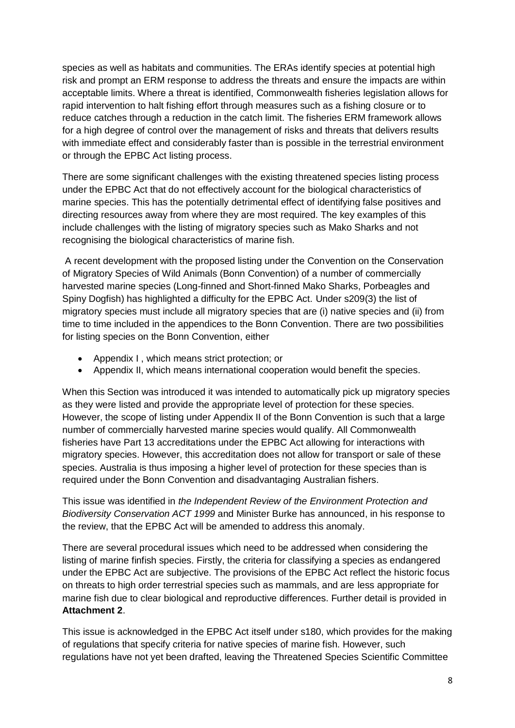species as well as habitats and communities. The ERAs identify species at potential high risk and prompt an ERM response to address the threats and ensure the impacts are within acceptable limits. Where a threat is identified, Commonwealth fisheries legislation allows for rapid intervention to halt fishing effort through measures such as a fishing closure or to reduce catches through a reduction in the catch limit. The fisheries ERM framework allows for a high degree of control over the management of risks and threats that delivers results with immediate effect and considerably faster than is possible in the terrestrial environment or through the EPBC Act listing process.

There are some significant challenges with the existing threatened species listing process under the EPBC Act that do not effectively account for the biological characteristics of marine species. This has the potentially detrimental effect of identifying false positives and directing resources away from where they are most required. The key examples of this include challenges with the listing of migratory species such as Mako Sharks and not recognising the biological characteristics of marine fish.

A recent development with the proposed listing under the Convention on the Conservation of Migratory Species of Wild Animals (Bonn Convention) of a number of commercially harvested marine species (Long-finned and Short-finned Mako Sharks, Porbeagles and Spiny Dogfish) has highlighted a difficulty for the EPBC Act. Under s209(3) the list of migratory species must include all migratory species that are (i) native species and (ii) from time to time included in the appendices to the Bonn Convention. There are two possibilities for listing species on the Bonn Convention, either

- Appendix I , which means strict protection; or
- Appendix II, which means international cooperation would benefit the species.

When this Section was introduced it was intended to automatically pick up migratory species as they were listed and provide the appropriate level of protection for these species. However, the scope of listing under Appendix II of the Bonn Convention is such that a large number of commercially harvested marine species would qualify. All Commonwealth fisheries have Part 13 accreditations under the EPBC Act allowing for interactions with migratory species. However, this accreditation does not allow for transport or sale of these species. Australia is thus imposing a higher level of protection for these species than is required under the Bonn Convention and disadvantaging Australian fishers.

This issue was identified in *the Independent Review of the Environment Protection and Biodiversity Conservation ACT 1999* and Minister Burke has announced, in his response to the review, that the EPBC Act will be amended to address this anomaly.

There are several procedural issues which need to be addressed when considering the listing of marine finfish species. Firstly, the criteria for classifying a species as endangered under the EPBC Act are subjective. The provisions of the EPBC Act reflect the historic focus on threats to high order terrestrial species such as mammals, and are less appropriate for marine fish due to clear biological and reproductive differences. Further detail is provided in **Attachment 2**.

This issue is acknowledged in the EPBC Act itself under s180, which provides for the making of regulations that specify criteria for native species of marine fish. However, such regulations have not yet been drafted, leaving the Threatened Species Scientific Committee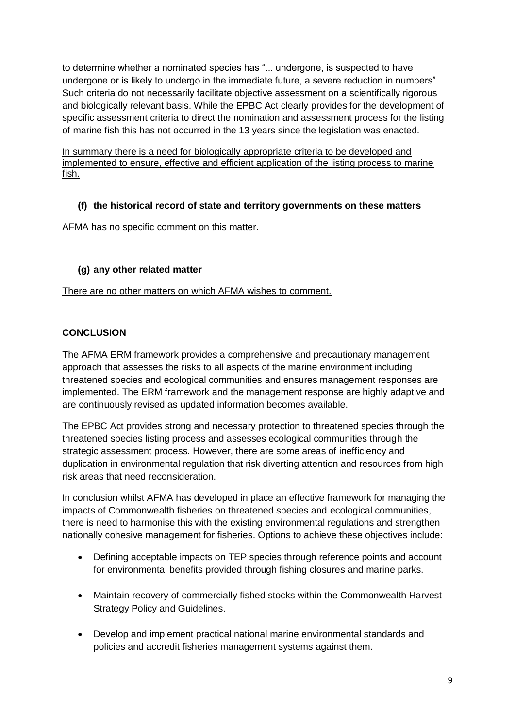to determine whether a nominated species has "... undergone, is suspected to have undergone or is likely to undergo in the immediate future, a severe reduction in numbers". Such criteria do not necessarily facilitate objective assessment on a scientifically rigorous and biologically relevant basis. While the EPBC Act clearly provides for the development of specific assessment criteria to direct the nomination and assessment process for the listing of marine fish this has not occurred in the 13 years since the legislation was enacted.

In summary there is a need for biologically appropriate criteria to be developed and implemented to ensure, effective and efficient application of the listing process to marine fish.

# **(f) the historical record of state and territory governments on these matters**

# AFMA has no specific comment on this matter.

# **(g) any other related matter**

There are no other matters on which AFMA wishes to comment.

# **CONCLUSION**

The AFMA ERM framework provides a comprehensive and precautionary management approach that assesses the risks to all aspects of the marine environment including threatened species and ecological communities and ensures management responses are implemented. The ERM framework and the management response are highly adaptive and are continuously revised as updated information becomes available.

The EPBC Act provides strong and necessary protection to threatened species through the threatened species listing process and assesses ecological communities through the strategic assessment process. However, there are some areas of inefficiency and duplication in environmental regulation that risk diverting attention and resources from high risk areas that need reconsideration.

In conclusion whilst AFMA has developed in place an effective framework for managing the impacts of Commonwealth fisheries on threatened species and ecological communities, there is need to harmonise this with the existing environmental regulations and strengthen nationally cohesive management for fisheries. Options to achieve these objectives include:

- Defining acceptable impacts on TEP species through reference points and account for environmental benefits provided through fishing closures and marine parks.
- Maintain recovery of commercially fished stocks within the Commonwealth Harvest Strategy Policy and Guidelines.
- Develop and implement practical national marine environmental standards and policies and accredit fisheries management systems against them.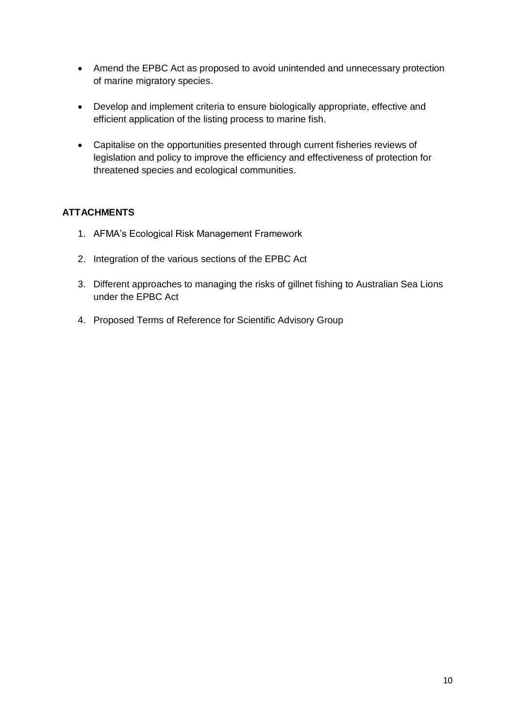- Amend the EPBC Act as proposed to avoid unintended and unnecessary protection of marine migratory species.
- Develop and implement criteria to ensure biologically appropriate, effective and efficient application of the listing process to marine fish.
- Capitalise on the opportunities presented through current fisheries reviews of legislation and policy to improve the efficiency and effectiveness of protection for threatened species and ecological communities.

# **ATTACHMENTS**

- 1. AFMA's Ecological Risk Management Framework
- 2. Integration of the various sections of the EPBC Act
- 3. Different approaches to managing the risks of gillnet fishing to Australian Sea Lions under the EPBC Act
- 4. Proposed Terms of Reference for Scientific Advisory Group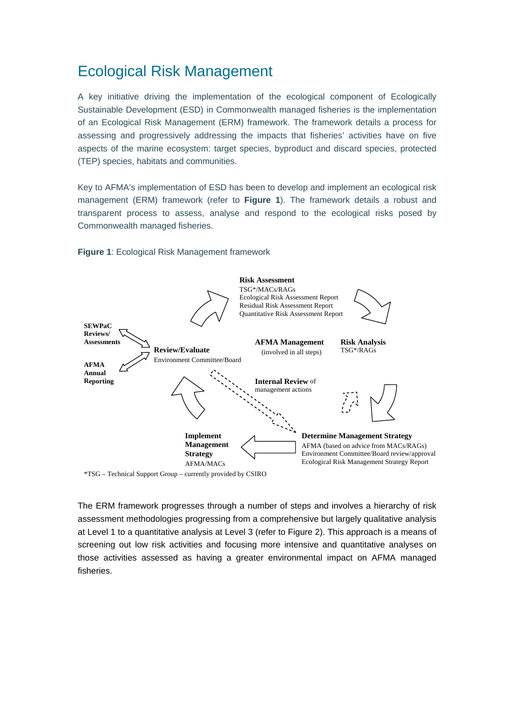# Ecological Risk Management

A key initiative driving the implementation of the ecological component of Ecologically Sustainable Development (ESD) in Commonwealth managed fisheries is the implementation of an Ecological Risk Management (ERM) framework. The framework details a process for assessing and progressively addressing the impacts that fisheries' activities have on five aspects of the marine ecosystem: target species, byproduct and discard species, protected (TEP) species, habitats and communities.

Key to AFMA's implementation of ESD has been to develop and implement an ecological risk management (ERM) framework (refer to **Figure 1**). The framework details a robust and transparent process to assess, analyse and respond to the ecological risks posed by Commonwealth managed fisheries.

#### **Figure 1**: Ecological Risk Management framework



The ERM framework progresses through a number of steps and involves a hierarchy of risk assessment methodologies progressing from a comprehensive but largely qualitative analysis at Level 1 to a quantitative analysis at Level 3 (refer to Figure 2). This approach is a means of screening out low risk activities and focusing more intensive and quantitative analyses on those activities assessed as having a greater environmental impact on AFMA managed fisheries.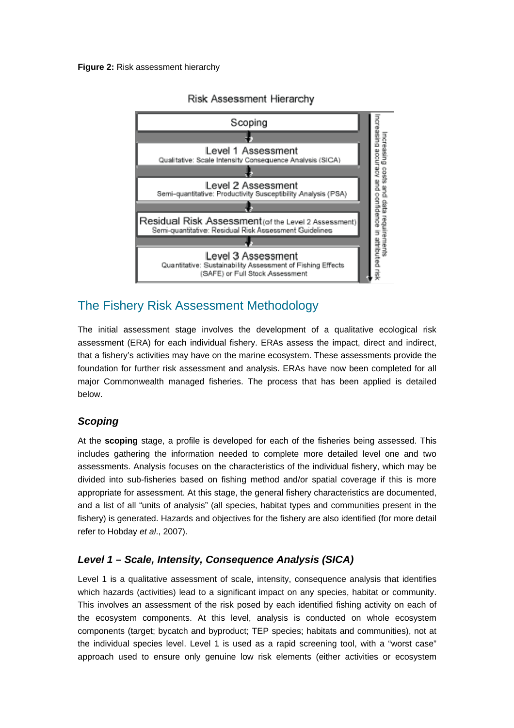

# Risk Assessment Hierarchy

# The Fishery Risk Assessment Methodology

The initial assessment stage involves the development of a qualitative ecological risk assessment (ERA) for each individual fishery. ERAs assess the impact, direct and indirect, that a fishery's activities may have on the marine ecosystem. These assessments provide the foundation for further risk assessment and analysis. ERAs have now been completed for all major Commonwealth managed fisheries. The process that has been applied is detailed below.

# *Scoping*

At the **scoping** stage, a profile is developed for each of the fisheries being assessed. This includes gathering the information needed to complete more detailed level one and two assessments. Analysis focuses on the characteristics of the individual fishery, which may be divided into sub-fisheries based on fishing method and/or spatial coverage if this is more appropriate for assessment. At this stage, the general fishery characteristics are documented, and a list of all "units of analysis" (all species, habitat types and communities present in the fishery) is generated. Hazards and objectives for the fishery are also identified (for more detail refer to Hobday *et al*., 2007).

# *Level 1 – Scale, Intensity, Consequence Analysis (SICA)*

Level 1 is a qualitative assessment of scale, intensity, consequence analysis that identifies which hazards (activities) lead to a significant impact on any species, habitat or community. This involves an assessment of the risk posed by each identified fishing activity on each of the ecosystem components. At this level, analysis is conducted on whole ecosystem components (target; bycatch and byproduct; TEP species; habitats and communities), not at the individual species level. Level 1 is used as a rapid screening tool, with a "worst case" approach used to ensure only genuine low risk elements (either activities or ecosystem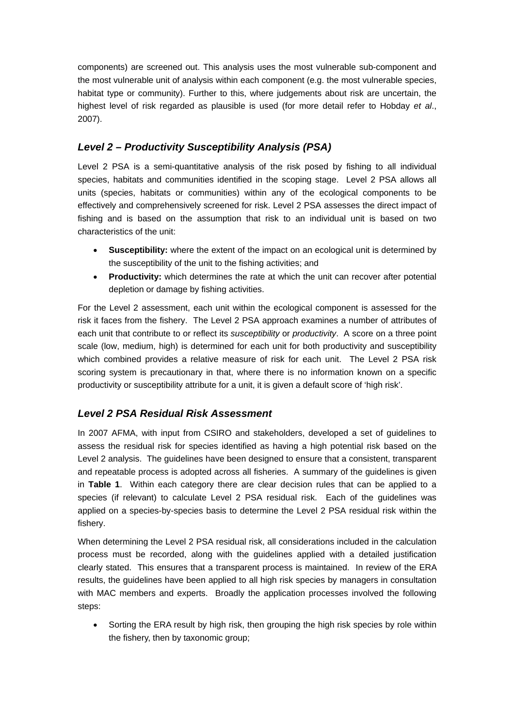components) are screened out. This analysis uses the most vulnerable sub-component and the most vulnerable unit of analysis within each component (e.g. the most vulnerable species, habitat type or community). Further to this, where judgements about risk are uncertain, the highest level of risk regarded as plausible is used (for more detail refer to Hobday *et al*., 2007).

# *Level 2 – Productivity Susceptibility Analysis (PSA)*

Level 2 PSA is a semi-quantitative analysis of the risk posed by fishing to all individual species, habitats and communities identified in the scoping stage. Level 2 PSA allows all units (species, habitats or communities) within any of the ecological components to be effectively and comprehensively screened for risk. Level 2 PSA assesses the direct impact of fishing and is based on the assumption that risk to an individual unit is based on two characteristics of the unit:

- **Susceptibility:** where the extent of the impact on an ecological unit is determined by the susceptibility of the unit to the fishing activities; and
- **Productivity:** which determines the rate at which the unit can recover after potential depletion or damage by fishing activities.

For the Level 2 assessment, each unit within the ecological component is assessed for the risk it faces from the fishery. The Level 2 PSA approach examines a number of attributes of each unit that contribute to or reflect its *susceptibility* or *productivity*. A score on a three point scale (low, medium, high) is determined for each unit for both productivity and susceptibility which combined provides a relative measure of risk for each unit. The Level 2 PSA risk scoring system is precautionary in that, where there is no information known on a specific productivity or susceptibility attribute for a unit, it is given a default score of 'high risk'.

# *Level 2 PSA Residual Risk Assessment*

In 2007 AFMA, with input from CSIRO and stakeholders, developed a set of guidelines to assess the residual risk for species identified as having a high potential risk based on the Level 2 analysis. The guidelines have been designed to ensure that a consistent, transparent and repeatable process is adopted across all fisheries. A summary of the guidelines is given in **Table 1**. Within each category there are clear decision rules that can be applied to a species (if relevant) to calculate Level 2 PSA residual risk. Each of the guidelines was applied on a species-by-species basis to determine the Level 2 PSA residual risk within the fishery.

When determining the Level 2 PSA residual risk, all considerations included in the calculation process must be recorded, along with the guidelines applied with a detailed justification clearly stated. This ensures that a transparent process is maintained. In review of the ERA results, the guidelines have been applied to all high risk species by managers in consultation with MAC members and experts. Broadly the application processes involved the following steps:

 Sorting the ERA result by high risk, then grouping the high risk species by role within the fishery, then by taxonomic group;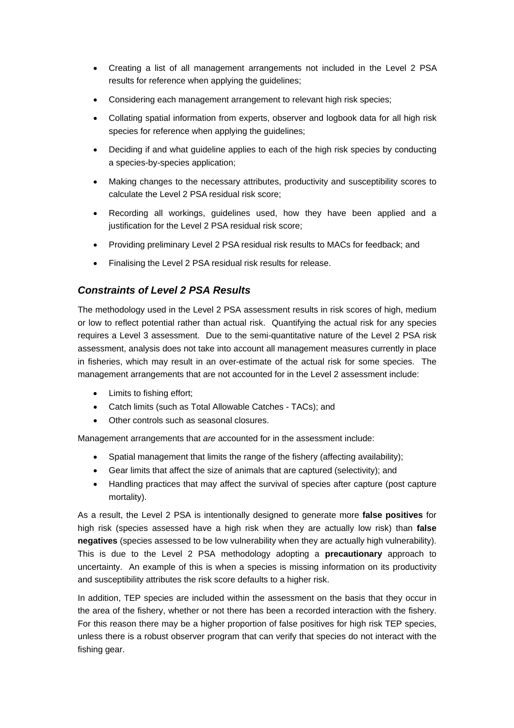- Creating a list of all management arrangements not included in the Level 2 PSA results for reference when applying the guidelines;
- Considering each management arrangement to relevant high risk species;
- Collating spatial information from experts, observer and logbook data for all high risk species for reference when applying the guidelines;
- Deciding if and what guideline applies to each of the high risk species by conducting a species-by-species application;
- Making changes to the necessary attributes, productivity and susceptibility scores to calculate the Level 2 PSA residual risk score;
- Recording all workings, guidelines used, how they have been applied and a justification for the Level 2 PSA residual risk score;
- Providing preliminary Level 2 PSA residual risk results to MACs for feedback; and
- Finalising the Level 2 PSA residual risk results for release.

### *Constraints of Level 2 PSA Results*

The methodology used in the Level 2 PSA assessment results in risk scores of high, medium or low to reflect potential rather than actual risk. Quantifying the actual risk for any species requires a Level 3 assessment. Due to the semi-quantitative nature of the Level 2 PSA risk assessment, analysis does not take into account all management measures currently in place in fisheries, which may result in an over-estimate of the actual risk for some species. The management arrangements that are not accounted for in the Level 2 assessment include:

- Limits to fishing effort;
- Catch limits (such as Total Allowable Catches TACs); and
- Other controls such as seasonal closures.

Management arrangements that *are* accounted for in the assessment include:

- Spatial management that limits the range of the fishery (affecting availability);
- Gear limits that affect the size of animals that are captured (selectivity); and
- Handling practices that may affect the survival of species after capture (post capture mortality).

As a result, the Level 2 PSA is intentionally designed to generate more **false positives** for high risk (species assessed have a high risk when they are actually low risk) than **false negatives** (species assessed to be low vulnerability when they are actually high vulnerability). This is due to the Level 2 PSA methodology adopting a **precautionary** approach to uncertainty. An example of this is when a species is missing information on its productivity and susceptibility attributes the risk score defaults to a higher risk.

In addition, TEP species are included within the assessment on the basis that they occur in the area of the fishery, whether or not there has been a recorded interaction with the fishery. For this reason there may be a higher proportion of false positives for high risk TEP species, unless there is a robust observer program that can verify that species do not interact with the fishing gear.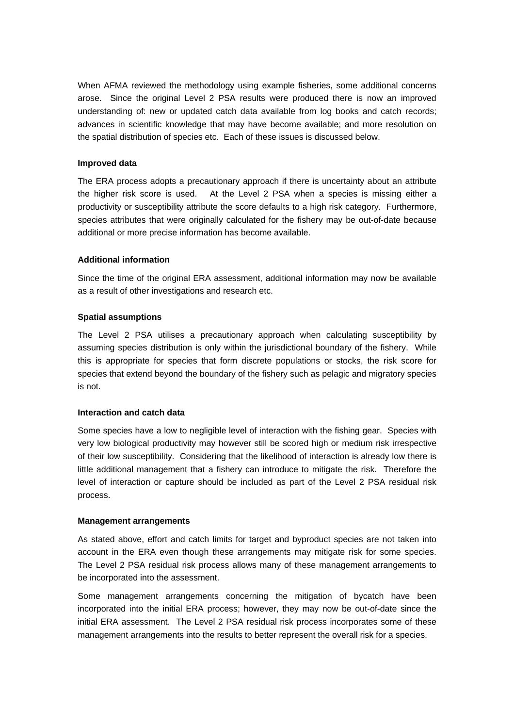When AFMA reviewed the methodology using example fisheries, some additional concerns arose. Since the original Level 2 PSA results were produced there is now an improved understanding of: new or updated catch data available from log books and catch records; advances in scientific knowledge that may have become available; and more resolution on the spatial distribution of species etc. Each of these issues is discussed below.

#### **Improved data**

The ERA process adopts a precautionary approach if there is uncertainty about an attribute the higher risk score is used. At the Level 2 PSA when a species is missing either a productivity or susceptibility attribute the score defaults to a high risk category. Furthermore, species attributes that were originally calculated for the fishery may be out-of-date because additional or more precise information has become available.

#### **Additional information**

Since the time of the original ERA assessment, additional information may now be available as a result of other investigations and research etc.

#### **Spatial assumptions**

The Level 2 PSA utilises a precautionary approach when calculating susceptibility by assuming species distribution is only within the jurisdictional boundary of the fishery. While this is appropriate for species that form discrete populations or stocks, the risk score for species that extend beyond the boundary of the fishery such as pelagic and migratory species is not.

#### **Interaction and catch data**

Some species have a low to negligible level of interaction with the fishing gear. Species with very low biological productivity may however still be scored high or medium risk irrespective of their low susceptibility. Considering that the likelihood of interaction is already low there is little additional management that a fishery can introduce to mitigate the risk. Therefore the level of interaction or capture should be included as part of the Level 2 PSA residual risk process.

#### **Management arrangements**

As stated above, effort and catch limits for target and byproduct species are not taken into account in the ERA even though these arrangements may mitigate risk for some species. The Level 2 PSA residual risk process allows many of these management arrangements to be incorporated into the assessment.

Some management arrangements concerning the mitigation of bycatch have been incorporated into the initial ERA process; however, they may now be out-of-date since the initial ERA assessment. The Level 2 PSA residual risk process incorporates some of these management arrangements into the results to better represent the overall risk for a species.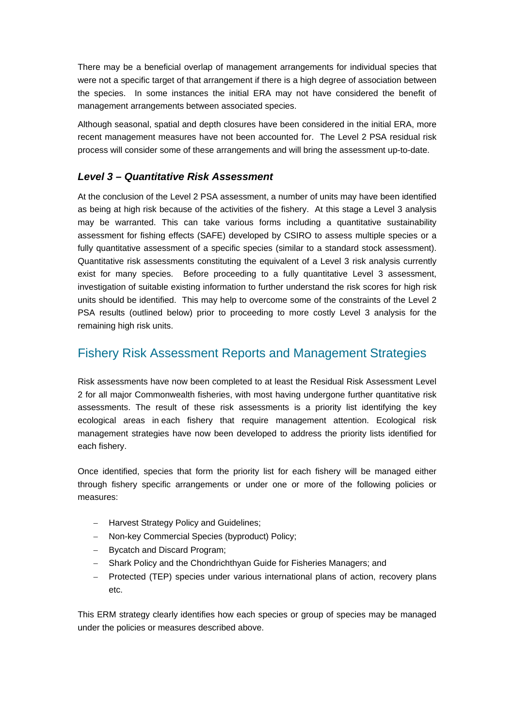There may be a beneficial overlap of management arrangements for individual species that were not a specific target of that arrangement if there is a high degree of association between the species. In some instances the initial ERA may not have considered the benefit of management arrangements between associated species.

Although seasonal, spatial and depth closures have been considered in the initial ERA, more recent management measures have not been accounted for. The Level 2 PSA residual risk process will consider some of these arrangements and will bring the assessment up-to-date.

# *Level 3 – Quantitative Risk Assessment*

At the conclusion of the Level 2 PSA assessment, a number of units may have been identified as being at high risk because of the activities of the fishery. At this stage a Level 3 analysis may be warranted. This can take various forms including a quantitative sustainability assessment for fishing effects (SAFE) developed by CSIRO to assess multiple species or a fully quantitative assessment of a specific species (similar to a standard stock assessment). Quantitative risk assessments constituting the equivalent of a Level 3 risk analysis currently exist for many species. Before proceeding to a fully quantitative Level 3 assessment, investigation of suitable existing information to further understand the risk scores for high risk units should be identified. This may help to overcome some of the constraints of the Level 2 PSA results (outlined below) prior to proceeding to more costly Level 3 analysis for the remaining high risk units.

# Fishery Risk Assessment Reports and Management Strategies

Risk assessments have now been completed to at least the Residual Risk Assessment Level 2 for all major Commonwealth fisheries, with most having undergone further quantitative risk assessments. The result of these risk assessments is a priority list identifying the key ecological areas in each fishery that require management attention. Ecological risk management strategies have now been developed to address the priority lists identified for each fishery.

Once identified, species that form the priority list for each fishery will be managed either through fishery specific arrangements or under one or more of the following policies or measures:

- Harvest Strategy Policy and Guidelines;
- Non-key Commercial Species (byproduct) Policy;
- Bycatch and Discard Program;
- Shark Policy and the Chondrichthyan Guide for Fisheries Managers; and
- Protected (TEP) species under various international plans of action, recovery plans etc.

This ERM strategy clearly identifies how each species or group of species may be managed under the policies or measures described above.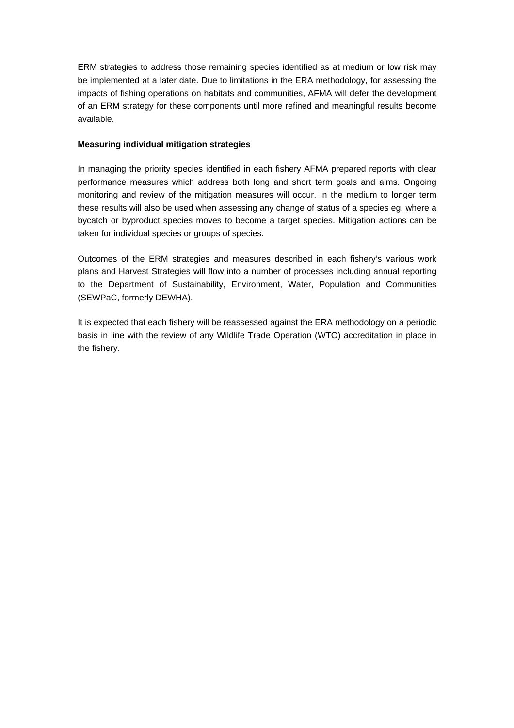ERM strategies to address those remaining species identified as at medium or low risk may be implemented at a later date. Due to limitations in the ERA methodology, for assessing the impacts of fishing operations on habitats and communities, AFMA will defer the development of an ERM strategy for these components until more refined and meaningful results become available.

### **Measuring individual mitigation strategies**

In managing the priority species identified in each fishery AFMA prepared reports with clear performance measures which address both long and short term goals and aims. Ongoing monitoring and review of the mitigation measures will occur. In the medium to longer term these results will also be used when assessing any change of status of a species eg. where a bycatch or byproduct species moves to become a target species. Mitigation actions can be taken for individual species or groups of species.

Outcomes of the ERM strategies and measures described in each fishery's various work plans and Harvest Strategies will flow into a number of processes including annual reporting to the Department of Sustainability, Environment, Water, Population and Communities (SEWPaC, formerly DEWHA).

It is expected that each fishery will be reassessed against the ERA methodology on a periodic basis in line with the review of any Wildlife Trade Operation (WTO) accreditation in place in the fishery.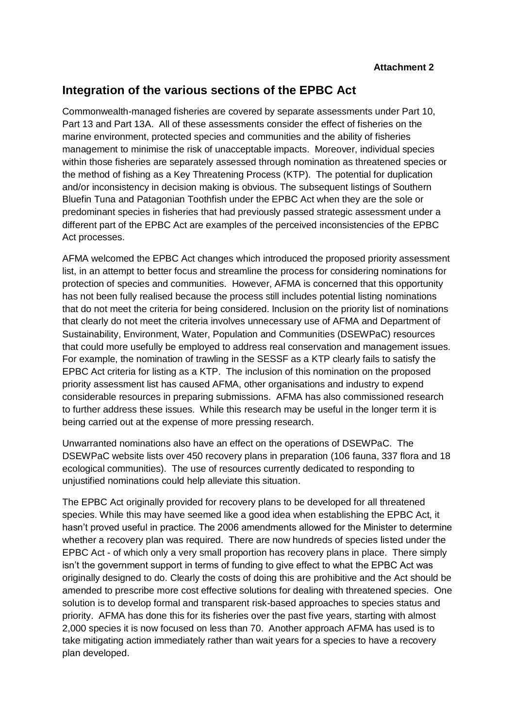# **Integration of the various sections of the EPBC Act**

Commonwealth-managed fisheries are covered by separate assessments under Part 10, Part 13 and Part 13A. All of these assessments consider the effect of fisheries on the marine environment, protected species and communities and the ability of fisheries management to minimise the risk of unacceptable impacts. Moreover, individual species within those fisheries are separately assessed through nomination as threatened species or the method of fishing as a Key Threatening Process (KTP). The potential for duplication and/or inconsistency in decision making is obvious. The subsequent listings of Southern Bluefin Tuna and Patagonian Toothfish under the EPBC Act when they are the sole or predominant species in fisheries that had previously passed strategic assessment under a different part of the EPBC Act are examples of the perceived inconsistencies of the EPBC Act processes.

AFMA welcomed the EPBC Act changes which introduced the proposed priority assessment list, in an attempt to better focus and streamline the process for considering nominations for protection of species and communities. However, AFMA is concerned that this opportunity has not been fully realised because the process still includes potential listing nominations that do not meet the criteria for being considered. Inclusion on the priority list of nominations that clearly do not meet the criteria involves unnecessary use of AFMA and Department of Sustainability, Environment, Water, Population and Communities (DSEWPaC) resources that could more usefully be employed to address real conservation and management issues. For example, the nomination of trawling in the SESSF as a KTP clearly fails to satisfy the EPBC Act criteria for listing as a KTP. The inclusion of this nomination on the proposed priority assessment list has caused AFMA, other organisations and industry to expend considerable resources in preparing submissions. AFMA has also commissioned research to further address these issues. While this research may be useful in the longer term it is being carried out at the expense of more pressing research.

Unwarranted nominations also have an effect on the operations of DSEWPaC. The DSEWPaC website lists over 450 recovery plans in preparation (106 fauna, 337 flora and 18 ecological communities). The use of resources currently dedicated to responding to unjustified nominations could help alleviate this situation.

The EPBC Act originally provided for recovery plans to be developed for all threatened species. While this may have seemed like a good idea when establishing the EPBC Act, it hasn't proved useful in practice. The 2006 amendments allowed for the Minister to determine whether a recovery plan was required. There are now hundreds of species listed under the EPBC Act - of which only a very small proportion has recovery plans in place. There simply isn't the government support in terms of funding to give effect to what the EPBC Act was originally designed to do. Clearly the costs of doing this are prohibitive and the Act should be amended to prescribe more cost effective solutions for dealing with threatened species. One solution is to develop formal and transparent risk-based approaches to species status and priority. AFMA has done this for its fisheries over the past five years, starting with almost 2,000 species it is now focused on less than 70. Another approach AFMA has used is to take mitigating action immediately rather than wait years for a species to have a recovery plan developed.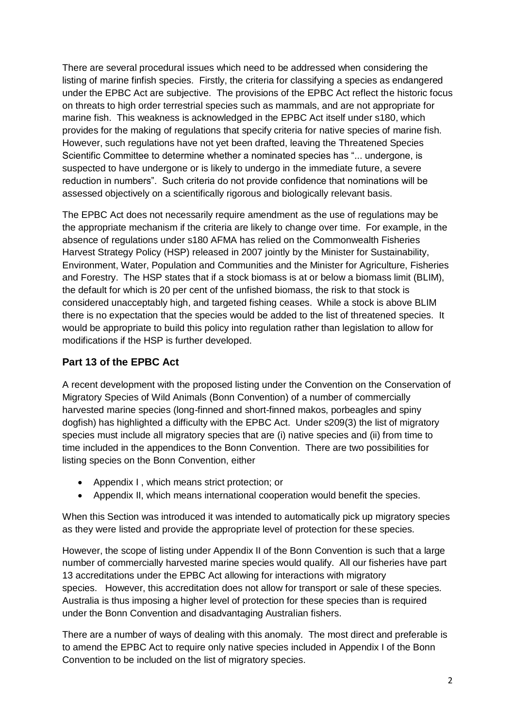There are several procedural issues which need to be addressed when considering the listing of marine finfish species. Firstly, the criteria for classifying a species as endangered under the EPBC Act are subjective. The provisions of the EPBC Act reflect the historic focus on threats to high order terrestrial species such as mammals, and are not appropriate for marine fish. This weakness is acknowledged in the EPBC Act itself under s180, which provides for the making of regulations that specify criteria for native species of marine fish. However, such regulations have not yet been drafted, leaving the Threatened Species Scientific Committee to determine whether a nominated species has "... undergone, is suspected to have undergone or is likely to undergo in the immediate future, a severe reduction in numbers". Such criteria do not provide confidence that nominations will be assessed objectively on a scientifically rigorous and biologically relevant basis.

The EPBC Act does not necessarily require amendment as the use of regulations may be the appropriate mechanism if the criteria are likely to change over time. For example, in the absence of regulations under s180 AFMA has relied on the Commonwealth Fisheries Harvest Strategy Policy (HSP) released in 2007 jointly by the Minister for Sustainability, Environment, Water, Population and Communities and the Minister for Agriculture, Fisheries and Forestry. The HSP states that if a stock biomass is at or below a biomass limit (BLIM), the default for which is 20 per cent of the unfished biomass, the risk to that stock is considered unacceptably high, and targeted fishing ceases. While a stock is above BLIM there is no expectation that the species would be added to the list of threatened species. It would be appropriate to build this policy into regulation rather than legislation to allow for modifications if the HSP is further developed.

# **Part 13 of the EPBC Act**

A recent development with the proposed listing under the Convention on the Conservation of Migratory Species of Wild Animals (Bonn Convention) of a number of commercially harvested marine species (long-finned and short-finned makos, porbeagles and spiny dogfish) has highlighted a difficulty with the EPBC Act. Under s209(3) the list of migratory species must include all migratory species that are (i) native species and (ii) from time to time included in the appendices to the Bonn Convention. There are two possibilities for listing species on the Bonn Convention, either

- Appendix I , which means strict protection; or
- Appendix II, which means international cooperation would benefit the species.

When this Section was introduced it was intended to automatically pick up migratory species as they were listed and provide the appropriate level of protection for these species.

However, the scope of listing under Appendix II of the Bonn Convention is such that a large number of commercially harvested marine species would qualify. All our fisheries have part 13 accreditations under the EPBC Act allowing for interactions with migratory species. However, this accreditation does not allow for transport or sale of these species. Australia is thus imposing a higher level of protection for these species than is required under the Bonn Convention and disadvantaging Australian fishers.

There are a number of ways of dealing with this anomaly. The most direct and preferable is to amend the EPBC Act to require only native species included in Appendix I of the Bonn Convention to be included on the list of migratory species.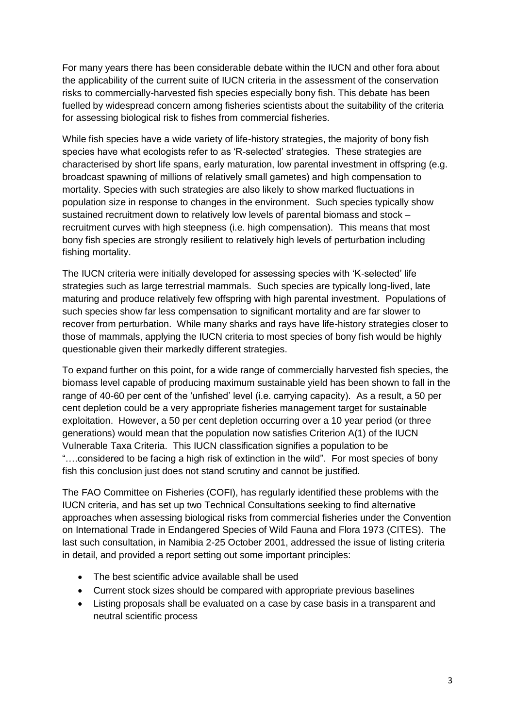For many years there has been considerable debate within the IUCN and other fora about the applicability of the current suite of IUCN criteria in the assessment of the conservation risks to commercially-harvested fish species especially bony fish. This debate has been fuelled by widespread concern among fisheries scientists about the suitability of the criteria for assessing biological risk to fishes from commercial fisheries.

While fish species have a wide variety of life-history strategies, the majority of bony fish species have what ecologists refer to as 'R-selected' strategies. These strategies are characterised by short life spans, early maturation, low parental investment in offspring (e.g. broadcast spawning of millions of relatively small gametes) and high compensation to mortality. Species with such strategies are also likely to show marked fluctuations in population size in response to changes in the environment. Such species typically show sustained recruitment down to relatively low levels of parental biomass and stock – recruitment curves with high steepness (i.e. high compensation). This means that most bony fish species are strongly resilient to relatively high levels of perturbation including fishing mortality.

The IUCN criteria were initially developed for assessing species with 'K-selected' life strategies such as large terrestrial mammals. Such species are typically long-lived, late maturing and produce relatively few offspring with high parental investment. Populations of such species show far less compensation to significant mortality and are far slower to recover from perturbation. While many sharks and rays have life-history strategies closer to those of mammals, applying the IUCN criteria to most species of bony fish would be highly questionable given their markedly different strategies.

To expand further on this point, for a wide range of commercially harvested fish species, the biomass level capable of producing maximum sustainable yield has been shown to fall in the range of 40-60 per cent of the 'unfished' level (i.e. carrying capacity). As a result, a 50 per cent depletion could be a very appropriate fisheries management target for sustainable exploitation. However, a 50 per cent depletion occurring over a 10 year period (or three generations) would mean that the population now satisfies Criterion A(1) of the IUCN Vulnerable Taxa Criteria. This IUCN classification signifies a population to be "….considered to be facing a high risk of extinction in the wild". For most species of bony fish this conclusion just does not stand scrutiny and cannot be justified.

The FAO Committee on Fisheries (COFI), has regularly identified these problems with the IUCN criteria, and has set up two Technical Consultations seeking to find alternative approaches when assessing biological risks from commercial fisheries under the Convention on International Trade in Endangered Species of Wild Fauna and Flora 1973 (CITES). The last such consultation, in Namibia 2-25 October 2001, addressed the issue of listing criteria in detail, and provided a report setting out some important principles:

- The best scientific advice available shall be used
- Current stock sizes should be compared with appropriate previous baselines
- Listing proposals shall be evaluated on a case by case basis in a transparent and neutral scientific process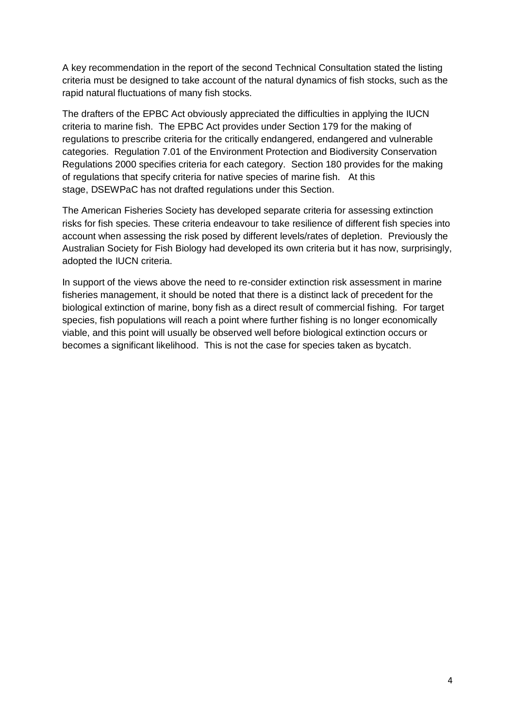A key recommendation in the report of the second Technical Consultation stated the listing criteria must be designed to take account of the natural dynamics of fish stocks, such as the rapid natural fluctuations of many fish stocks.

The drafters of the EPBC Act obviously appreciated the difficulties in applying the IUCN criteria to marine fish. The EPBC Act provides under Section 179 for the making of regulations to prescribe criteria for the critically endangered, endangered and vulnerable categories. Regulation 7.01 of the Environment Protection and Biodiversity Conservation Regulations 2000 specifies criteria for each category. Section 180 provides for the making of regulations that specify criteria for native species of marine fish. At this stage, DSEWPaC has not drafted regulations under this Section.

The American Fisheries Society has developed separate criteria for assessing extinction risks for fish species. These criteria endeavour to take resilience of different fish species into account when assessing the risk posed by different levels/rates of depletion. Previously the Australian Society for Fish Biology had developed its own criteria but it has now, surprisingly, adopted the IUCN criteria.

In support of the views above the need to re-consider extinction risk assessment in marine fisheries management, it should be noted that there is a distinct lack of precedent for the biological extinction of marine, bony fish as a direct result of commercial fishing. For target species, fish populations will reach a point where further fishing is no longer economically viable, and this point will usually be observed well before biological extinction occurs or becomes a significant likelihood. This is not the case for species taken as bycatch.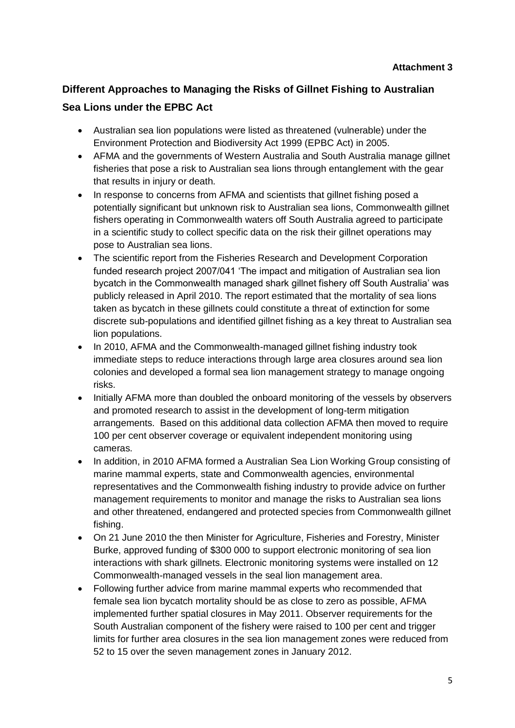# **Different Approaches to Managing the Risks of Gillnet Fishing to Australian Sea Lions under the EPBC Act**

- Australian sea lion populations were listed as threatened (vulnerable) under the Environment Protection and Biodiversity Act 1999 (EPBC Act) in 2005.
- AFMA and the governments of Western Australia and South Australia manage gillnet fisheries that pose a risk to Australian sea lions through entanglement with the gear that results in injury or death.
- In response to concerns from AFMA and scientists that gillnet fishing posed a potentially significant but unknown risk to Australian sea lions, Commonwealth gillnet fishers operating in Commonwealth waters off South Australia agreed to participate in a scientific study to collect specific data on the risk their gillnet operations may pose to Australian sea lions.
- The scientific report from the Fisheries Research and Development Corporation funded research project 2007/041 'The impact and mitigation of Australian sea lion bycatch in the Commonwealth managed shark gillnet fishery off South Australia' was publicly released in April 2010. The report estimated that the mortality of sea lions taken as bycatch in these gillnets could constitute a threat of extinction for some discrete sub-populations and identified gillnet fishing as a key threat to Australian sea lion populations.
- In 2010, AFMA and the Commonwealth-managed gillnet fishing industry took immediate steps to reduce interactions through large area closures around sea lion colonies and developed a formal sea lion management strategy to manage ongoing risks.
- Initially AFMA more than doubled the onboard monitoring of the vessels by observers and promoted research to assist in the development of long-term mitigation arrangements. Based on this additional data collection AFMA then moved to require 100 per cent observer coverage or equivalent independent monitoring using cameras.
- In addition, in 2010 AFMA formed a Australian Sea Lion Working Group consisting of marine mammal experts, state and Commonwealth agencies, environmental representatives and the Commonwealth fishing industry to provide advice on further management requirements to monitor and manage the risks to Australian sea lions and other threatened, endangered and protected species from Commonwealth gillnet fishing.
- On 21 June 2010 the then Minister for Agriculture, Fisheries and Forestry, Minister Burke, approved funding of \$300 000 to support electronic monitoring of sea lion interactions with shark gillnets. Electronic monitoring systems were installed on 12 Commonwealth-managed vessels in the seal lion management area.
- Following further advice from marine mammal experts who recommended that female sea lion bycatch mortality should be as close to zero as possible, AFMA implemented further spatial closures in May 2011. Observer requirements for the South Australian component of the fishery were raised to 100 per cent and trigger limits for further area closures in the sea lion management zones were reduced from 52 to 15 over the seven management zones in January 2012.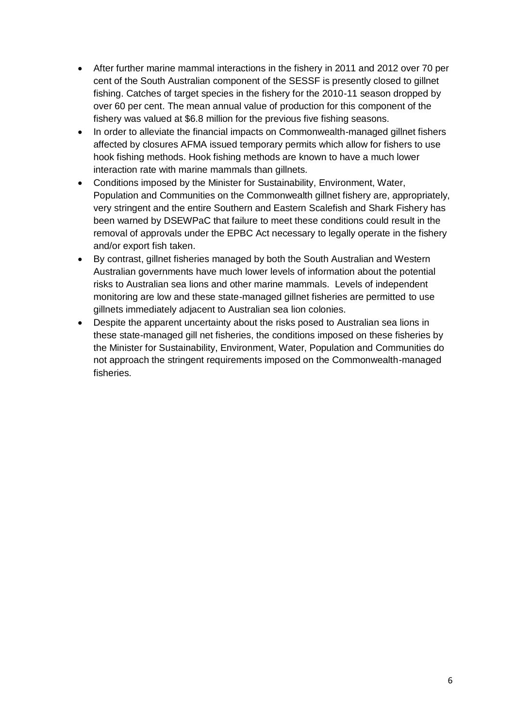- After further marine mammal interactions in the fishery in 2011 and 2012 over 70 per cent of the South Australian component of the SESSF is presently closed to gillnet fishing. Catches of target species in the fishery for the 2010-11 season dropped by over 60 per cent. The mean annual value of production for this component of the fishery was valued at \$6.8 million for the previous five fishing seasons.
- In order to alleviate the financial impacts on Commonwealth-managed gillnet fishers affected by closures AFMA issued temporary permits which allow for fishers to use hook fishing methods. Hook fishing methods are known to have a much lower interaction rate with marine mammals than gillnets.
- Conditions imposed by the Minister for Sustainability, Environment, Water, Population and Communities on the Commonwealth gillnet fishery are, appropriately, very stringent and the entire Southern and Eastern Scalefish and Shark Fishery has been warned by DSEWPaC that failure to meet these conditions could result in the removal of approvals under the EPBC Act necessary to legally operate in the fishery and/or export fish taken.
- By contrast, gillnet fisheries managed by both the South Australian and Western Australian governments have much lower levels of information about the potential risks to Australian sea lions and other marine mammals. Levels of independent monitoring are low and these state-managed gillnet fisheries are permitted to use gillnets immediately adjacent to Australian sea lion colonies.
- Despite the apparent uncertainty about the risks posed to Australian sea lions in these state-managed gill net fisheries, the conditions imposed on these fisheries by the Minister for Sustainability, Environment, Water, Population and Communities do not approach the stringent requirements imposed on the Commonwealth-managed fisheries.